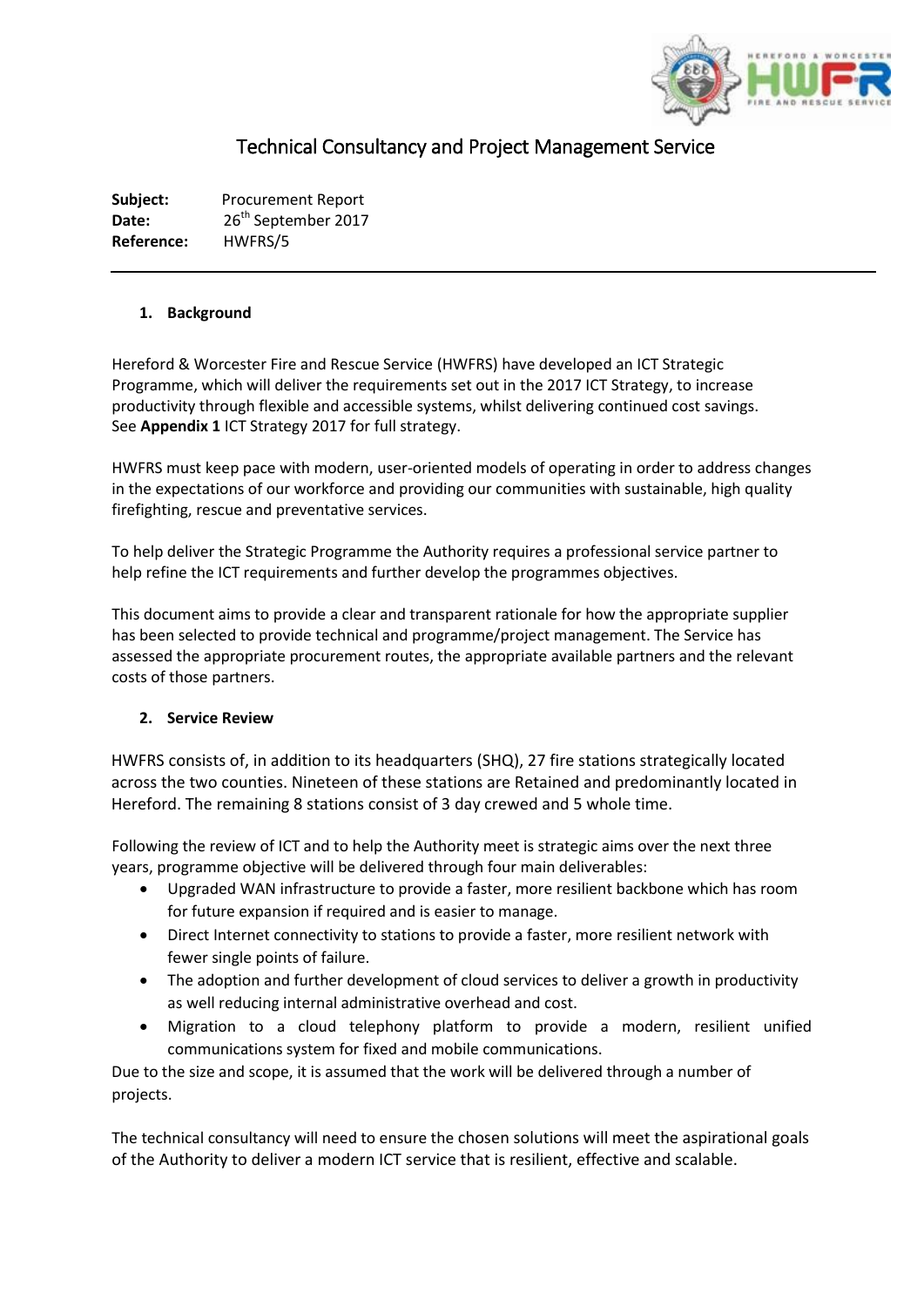

# Technical Consultancy and Project Management Service

**Subject:** Procurement Report Date: 26<sup>th</sup> September 2017 **Reference:** HWFRS/5

#### **1. Background**

Hereford & Worcester Fire and Rescue Service (HWFRS) have developed an ICT Strategic Programme, which will deliver the requirements set out in the 2017 ICT Strategy, to increase productivity through flexible and accessible systems, whilst delivering continued cost savings. See **Appendix 1** ICT Strategy 2017 for full strategy.

HWFRS must keep pace with modern, user-oriented models of operating in order to address changes in the expectations of our workforce and providing our communities with sustainable, high quality firefighting, rescue and preventative services.

To help deliver the Strategic Programme the Authority requires a professional service partner to help refine the ICT requirements and further develop the programmes objectives.

This document aims to provide a clear and transparent rationale for how the appropriate supplier has been selected to provide technical and programme/project management. The Service has assessed the appropriate procurement routes, the appropriate available partners and the relevant costs of those partners.

# **2. Service Review**

HWFRS consists of, in addition to its headquarters (SHQ), 27 fire stations strategically located across the two counties. Nineteen of these stations are Retained and predominantly located in Hereford. The remaining 8 stations consist of 3 day crewed and 5 whole time.

Following the review of ICT and to help the Authority meet is strategic aims over the next three years, programme objective will be delivered through four main deliverables:

- Upgraded WAN infrastructure to provide a faster, more resilient backbone which has room for future expansion if required and is easier to manage.
- Direct Internet connectivity to stations to provide a faster, more resilient network with fewer single points of failure.
- The adoption and further development of cloud services to deliver a growth in productivity as well reducing internal administrative overhead and cost.
- Migration to a cloud telephony platform to provide a modern, resilient unified communications system for fixed and mobile communications.

Due to the size and scope, it is assumed that the work will be delivered through a number of projects.

The technical consultancy will need to ensure the chosen solutions will meet the aspirational goals of the Authority to deliver a modern ICT service that is resilient, effective and scalable.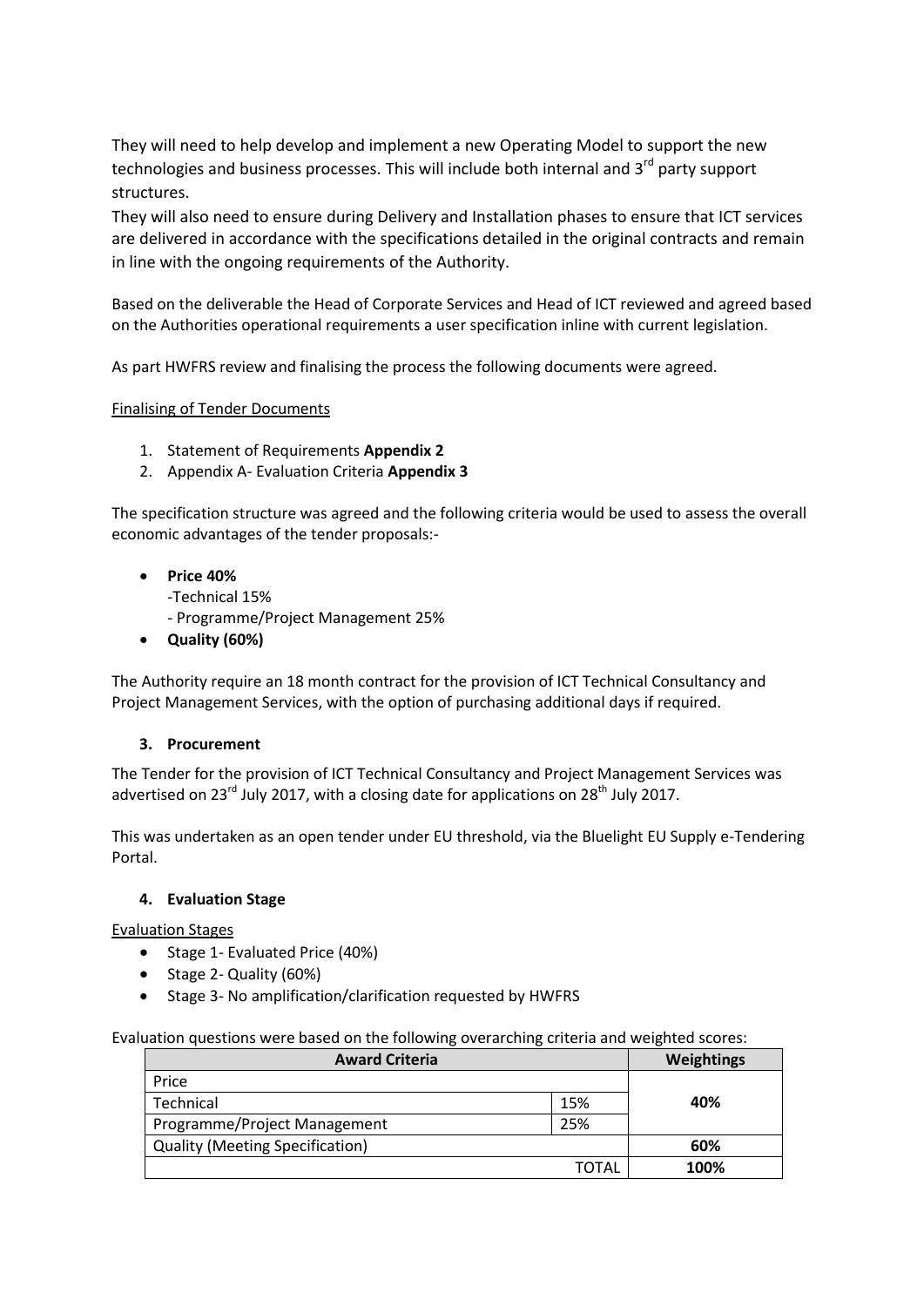They will need to help develop and implement a new Operating Model to support the new technologies and business processes. This will include both internal and 3<sup>rd</sup> party support structures.

They will also need to ensure during Delivery and Installation phases to ensure that ICT services are delivered in accordance with the specifications detailed in the original contracts and remain in line with the ongoing requirements of the Authority.

Based on the deliverable the Head of Corporate Services and Head of ICT reviewed and agreed based on the Authorities operational requirements a user specification inline with current legislation.

As part HWFRS review and finalising the process the following documents were agreed.

# Finalising of Tender Documents

- 1. Statement of Requirements **Appendix 2**
- 2. Appendix A- Evaluation Criteria **Appendix 3**

The specification structure was agreed and the following criteria would be used to assess the overall economic advantages of the tender proposals:-

- **Price 40%**
	- -Technical 15%
	- Programme/Project Management 25%
- **Quality (60%)**

The Authority require an 18 month contract for the provision of ICT Technical Consultancy and Project Management Services, with the option of purchasing additional days if required.

#### **3. Procurement**

The Tender for the provision of ICT Technical Consultancy and Project Management Services was advertised on 23<sup>rd</sup> July 2017, with a closing date for applications on 28<sup>th</sup> July 2017.

This was undertaken as an open tender under EU threshold, via the Bluelight EU Supply e-Tendering Portal.

#### **4. Evaluation Stage**

Evaluation Stages

- Stage 1- Evaluated Price (40%)
- Stage 2- Quality (60%)
- Stage 3- No amplification/clarification requested by HWFRS

Evaluation questions were based on the following overarching criteria and weighted scores:

| <b>Award Criteria</b>                  |       | Weightings |  |  |
|----------------------------------------|-------|------------|--|--|
| Price                                  |       |            |  |  |
| Technical                              | 15%   | 40%        |  |  |
| Programme/Project Management           | 25%   |            |  |  |
| <b>Quality (Meeting Specification)</b> |       | 60%        |  |  |
|                                        | TOTAL | 100%       |  |  |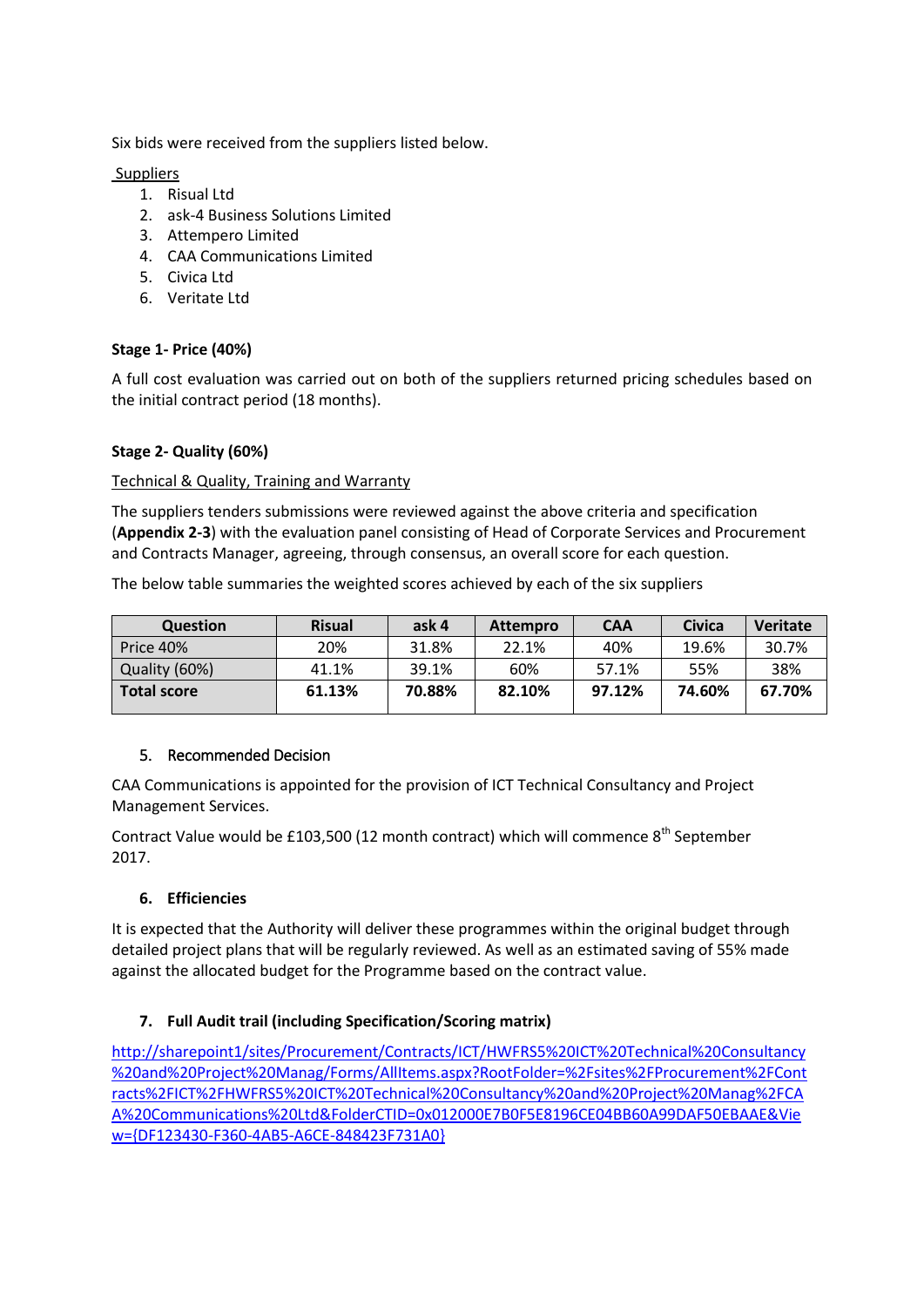Six bids were received from the suppliers listed below.

Suppliers

- 1. Risual Ltd
- 2. ask-4 Business Solutions Limited
- 3. Attempero Limited
- 4. CAA Communications Limited
- 5. Civica Ltd
- 6. Veritate Ltd

# **Stage 1- Price (40%)**

A full cost evaluation was carried out on both of the suppliers returned pricing schedules based on the initial contract period (18 months).

# **Stage 2- Quality (60%)**

#### Technical & Quality, Training and Warranty

The suppliers tenders submissions were reviewed against the above criteria and specification (**Appendix 2-3**) with the evaluation panel consisting of Head of Corporate Services and Procurement and Contracts Manager, agreeing, through consensus, an overall score for each question.

The below table summaries the weighted scores achieved by each of the six suppliers

| <b>Question</b>    | <b>Risual</b> | ask 4  | <b>Attempro</b> | <b>CAA</b> | Civica | <b>Veritate</b> |
|--------------------|---------------|--------|-----------------|------------|--------|-----------------|
| Price 40%          | 20%           | 31.8%  | 22.1%           | 40%        | 19.6%  | 30.7%           |
| Quality (60%)      | 41.1%         | 39.1%  | 60%             | 57.1%      | 55%    | 38%             |
| <b>Total score</b> | 61.13%        | 70.88% | 82.10%          | 97.12%     | 74.60% | 67.70%          |
|                    |               |        |                 |            |        |                 |

# 5. Recommended Decision

CAA Communications is appointed for the provision of ICT Technical Consultancy and Project Management Services.

Contract Value would be £103,500 (12 month contract) which will commence  $8<sup>th</sup>$  September 2017.

# **6. Efficiencies**

It is expected that the Authority will deliver these programmes within the original budget through detailed project plans that will be regularly reviewed. As well as an estimated saving of 55% made against the allocated budget for the Programme based on the contract value.

# **7. Full Audit trail (including Specification/Scoring matrix)**

[http://sharepoint1/sites/Procurement/Contracts/ICT/HWFRS5%20ICT%20Technical%20Consultancy](http://sharepoint1/sites/Procurement/Contracts/ICT/HWFRS5%20ICT%20Technical%20Consultancy%20and%20Project%20Manag/Forms/AllItems.aspx?RootFolder=%2Fsites%2FProcurement%2FContracts%2FICT%2FHWFRS5%20ICT%20Technical%20Consultancy%20and%20Project%20Manag%2FCAA%20Communications%20Ltd&FolderCTID=0x012000E7B0F5E8196CE04BB60A99DAF50EBAAE&View=%7bDF123430-F360-4AB5-A6CE-848423F731A0%7d) [%20and%20Project%20Manag/Forms/AllItems.aspx?RootFolder=%2Fsites%2FProcurement%2FCont](http://sharepoint1/sites/Procurement/Contracts/ICT/HWFRS5%20ICT%20Technical%20Consultancy%20and%20Project%20Manag/Forms/AllItems.aspx?RootFolder=%2Fsites%2FProcurement%2FContracts%2FICT%2FHWFRS5%20ICT%20Technical%20Consultancy%20and%20Project%20Manag%2FCAA%20Communications%20Ltd&FolderCTID=0x012000E7B0F5E8196CE04BB60A99DAF50EBAAE&View=%7bDF123430-F360-4AB5-A6CE-848423F731A0%7d) [racts%2FICT%2FHWFRS5%20ICT%20Technical%20Consultancy%20and%20Project%20Manag%2FCA](http://sharepoint1/sites/Procurement/Contracts/ICT/HWFRS5%20ICT%20Technical%20Consultancy%20and%20Project%20Manag/Forms/AllItems.aspx?RootFolder=%2Fsites%2FProcurement%2FContracts%2FICT%2FHWFRS5%20ICT%20Technical%20Consultancy%20and%20Project%20Manag%2FCAA%20Communications%20Ltd&FolderCTID=0x012000E7B0F5E8196CE04BB60A99DAF50EBAAE&View=%7bDF123430-F360-4AB5-A6CE-848423F731A0%7d) [A%20Communications%20Ltd&FolderCTID=0x012000E7B0F5E8196CE04BB60A99DAF50EBAAE&Vie](http://sharepoint1/sites/Procurement/Contracts/ICT/HWFRS5%20ICT%20Technical%20Consultancy%20and%20Project%20Manag/Forms/AllItems.aspx?RootFolder=%2Fsites%2FProcurement%2FContracts%2FICT%2FHWFRS5%20ICT%20Technical%20Consultancy%20and%20Project%20Manag%2FCAA%20Communications%20Ltd&FolderCTID=0x012000E7B0F5E8196CE04BB60A99DAF50EBAAE&View=%7bDF123430-F360-4AB5-A6CE-848423F731A0%7d) [w={DF123430-F360-4AB5-A6CE-848423F731A0}](http://sharepoint1/sites/Procurement/Contracts/ICT/HWFRS5%20ICT%20Technical%20Consultancy%20and%20Project%20Manag/Forms/AllItems.aspx?RootFolder=%2Fsites%2FProcurement%2FContracts%2FICT%2FHWFRS5%20ICT%20Technical%20Consultancy%20and%20Project%20Manag%2FCAA%20Communications%20Ltd&FolderCTID=0x012000E7B0F5E8196CE04BB60A99DAF50EBAAE&View=%7bDF123430-F360-4AB5-A6CE-848423F731A0%7d)